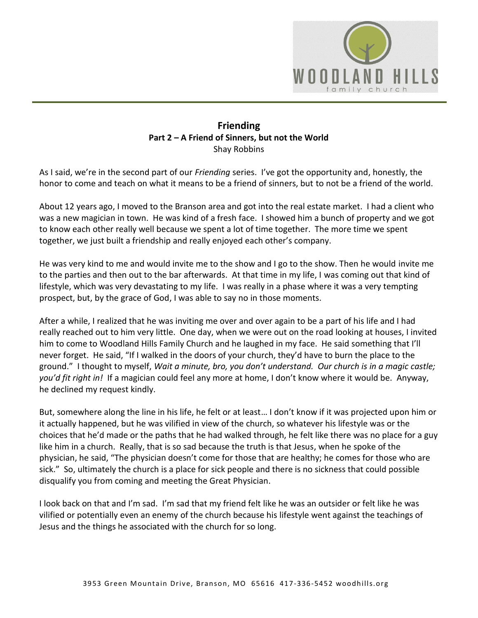

## **Friending Part 2 – A Friend of Sinners, but not the World**  Shay Robbins

As I said, we're in the second part of our *Friending* series. I've got the opportunity and, honestly, the honor to come and teach on what it means to be a friend of sinners, but to not be a friend of the world.

About 12 years ago, I moved to the Branson area and got into the real estate market. I had a client who was a new magician in town. He was kind of a fresh face. I showed him a bunch of property and we got to know each other really well because we spent a lot of time together. The more time we spent together, we just built a friendship and really enjoyed each other's company.

He was very kind to me and would invite me to the show and I go to the show. Then he would invite me to the parties and then out to the bar afterwards. At that time in my life, I was coming out that kind of lifestyle, which was very devastating to my life. I was really in a phase where it was a very tempting prospect, but, by the grace of God, I was able to say no in those moments.

After a while, I realized that he was inviting me over and over again to be a part of his life and I had really reached out to him very little. One day, when we were out on the road looking at houses, I invited him to come to Woodland Hills Family Church and he laughed in my face. He said something that I'll never forget. He said, "If I walked in the doors of your church, they'd have to burn the place to the ground." I thought to myself, *Wait a minute, bro, you don't understand. Our church is in a magic castle; you'd fit right in!* If a magician could feel any more at home, I don't know where it would be. Anyway, he declined my request kindly.

But, somewhere along the line in his life, he felt or at least… I don't know if it was projected upon him or it actually happened, but he was vilified in view of the church, so whatever his lifestyle was or the choices that he'd made or the paths that he had walked through, he felt like there was no place for a guy like him in a church. Really, that is so sad because the truth is that Jesus, when he spoke of the physician, he said, "The physician doesn't come for those that are healthy; he comes for those who are sick." So, ultimately the church is a place for sick people and there is no sickness that could possible disqualify you from coming and meeting the Great Physician.

I look back on that and I'm sad. I'm sad that my friend felt like he was an outsider or felt like he was vilified or potentially even an enemy of the church because his lifestyle went against the teachings of Jesus and the things he associated with the church for so long.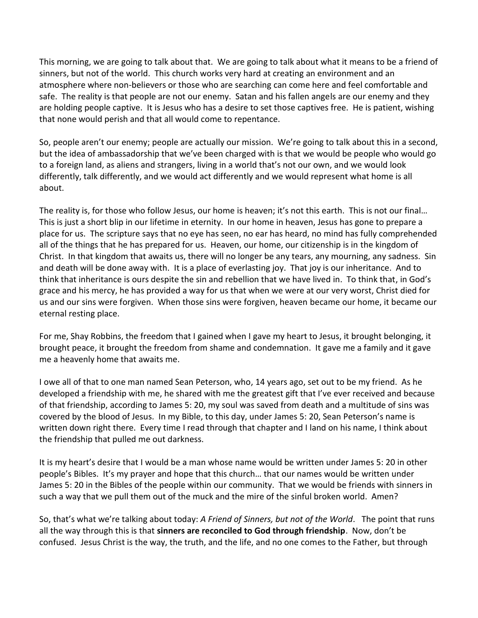This morning, we are going to talk about that. We are going to talk about what it means to be a friend of sinners, but not of the world. This church works very hard at creating an environment and an atmosphere where non-believers or those who are searching can come here and feel comfortable and safe. The reality is that people are not our enemy. Satan and his fallen angels are our enemy and they are holding people captive. It is Jesus who has a desire to set those captives free. He is patient, wishing that none would perish and that all would come to repentance.

So, people aren't our enemy; people are actually our mission. We're going to talk about this in a second, but the idea of ambassadorship that we've been charged with is that we would be people who would go to a foreign land, as aliens and strangers, living in a world that's not our own, and we would look differently, talk differently, and we would act differently and we would represent what home is all about.

The reality is, for those who follow Jesus, our home is heaven; it's not this earth. This is not our final… This is just a short blip in our lifetime in eternity. In our home in heaven, Jesus has gone to prepare a place for us. The scripture says that no eye has seen, no ear has heard, no mind has fully comprehended all of the things that he has prepared for us. Heaven, our home, our citizenship is in the kingdom of Christ. In that kingdom that awaits us, there will no longer be any tears, any mourning, any sadness. Sin and death will be done away with. It is a place of everlasting joy. That joy is our inheritance. And to think that inheritance is ours despite the sin and rebellion that we have lived in. To think that, in God's grace and his mercy, he has provided a way for us that when we were at our very worst, Christ died for us and our sins were forgiven. When those sins were forgiven, heaven became our home, it became our eternal resting place.

For me, Shay Robbins, the freedom that I gained when I gave my heart to Jesus, it brought belonging, it brought peace, it brought the freedom from shame and condemnation. It gave me a family and it gave me a heavenly home that awaits me.

I owe all of that to one man named Sean Peterson, who, 14 years ago, set out to be my friend. As he developed a friendship with me, he shared with me the greatest gift that I've ever received and because of that friendship, according to James 5: 20, my soul was saved from death and a multitude of sins was covered by the blood of Jesus. In my Bible, to this day, under James 5: 20, Sean Peterson's name is written down right there. Every time I read through that chapter and I land on his name, I think about the friendship that pulled me out darkness.

It is my heart's desire that I would be a man whose name would be written under James 5: 20 in other people's Bibles. It's my prayer and hope that this church… that our names would be written under James 5: 20 in the Bibles of the people within our community. That we would be friends with sinners in such a way that we pull them out of the muck and the mire of the sinful broken world. Amen?

So, that's what we're talking about today: *A Friend of Sinners, but not of the World*. The point that runs all the way through this is that **sinners are reconciled to God through friendship**. Now, don't be confused. Jesus Christ is the way, the truth, and the life, and no one comes to the Father, but through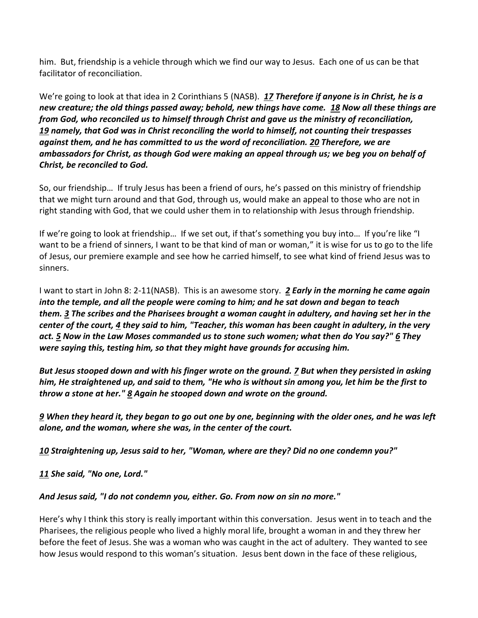him. But, friendship is a vehicle through which we find our way to Jesus. Each one of us can be that facilitator of reconciliation.

We're going to look at that idea in 2 Corinthians 5 (NASB). *[17](http://www.studylight.org/desk/?q=2co%205:17&t1=en_nas&sr=1) Therefore if anyone is in Christ, he is a new creature; the old things passed away; behold, new things have come. [18](http://www.studylight.org/desk/?q=2co%205:18&t1=en_nas&sr=1) Now all these things are from God, who reconciled us to himself through Christ and gave us the ministry of reconciliation, [19](http://www.studylight.org/desk/?q=2co%205:19&t1=en_nas&sr=1) namely, that God was in Christ reconciling the world to himself, not counting their trespasses against them, and he has committed to us the word of reconciliation. [20](http://www.studylight.org/desk/?q=2co%205:20&t1=en_nas&sr=1) Therefore, we are ambassadors for Christ, as though God were making an appeal through us; we beg you on behalf of Christ, be reconciled to God.* 

So, our friendship… If truly Jesus has been a friend of ours, he's passed on this ministry of friendship that we might turn around and that God, through us, would make an appeal to those who are not in right standing with God, that we could usher them in to relationship with Jesus through friendship.

If we're going to look at friendship… If we set out, if that's something you buy into… If you're like "I want to be a friend of sinners, I want to be that kind of man or woman," it is wise for us to go to the life of Jesus, our premiere example and see how he carried himself, to see what kind of friend Jesus was to sinners.

I want to start in John 8: 2-11(NASB). This is an awesome story. *[2](http://www.studylight.org/desk/?q=joh%208:2&t1=en_nas&sr=1) Early in the morning he came again into the temple, and all the people were coming to him; and he sat down and began to teach them. [3](http://www.studylight.org/desk/?q=joh%208:3&t1=en_nas&sr=1) The scribes and the Pharisees brought a woman caught in adultery, and having set her in the center of the court, [4](http://www.studylight.org/desk/?q=joh%208:4&t1=en_nas&sr=1) they said to him, "Teacher, this woman has been caught in adultery, in the very act. [5](http://www.studylight.org/desk/?q=joh%208:5&t1=en_nas&sr=1) Now in the Law Moses commanded us to stone such women; what then do You say?" [6](http://www.studylight.org/desk/?q=joh%208:6&t1=en_nas&sr=1) They were saying this, testing him, so that they might have grounds for accusing him.* 

*But Jesus stooped down and with his finger wrote on the ground. [7](http://www.studylight.org/desk/?q=joh%208:7&t1=en_nas&sr=1) But when they persisted in asking him, He straightened up, and said to them, "He who is without sin among you, let him be the first to throw a stone at her." [8](http://www.studylight.org/desk/?q=joh%208:8&t1=en_nas&sr=1) Again he stooped down and wrote on the ground.* 

*[9](http://www.studylight.org/desk/?q=joh%208:9&t1=en_nas&sr=1) When they heard it, they began to go out one by one, beginning with the older ones, and he was left alone, and the woman, where she was, in the center of the court.* 

*[10](http://www.studylight.org/desk/?q=joh%208:10&t1=en_nas&sr=1) Straightening up, Jesus said to her, "Woman, where are they? Did no one condemn you?"* 

*[11](http://www.studylight.org/desk/?q=joh%208:11&t1=en_nas&sr=1) She said, "No one, Lord."* 

## *And Jesus said, "I do not condemn you, either. Go. From now on sin no more."*

Here's why I think this story is really important within this conversation. Jesus went in to teach and the Pharisees, the religious people who lived a highly moral life, brought a woman in and they threw her before the feet of Jesus. She was a woman who was caught in the act of adultery. They wanted to see how Jesus would respond to this woman's situation. Jesus bent down in the face of these religious,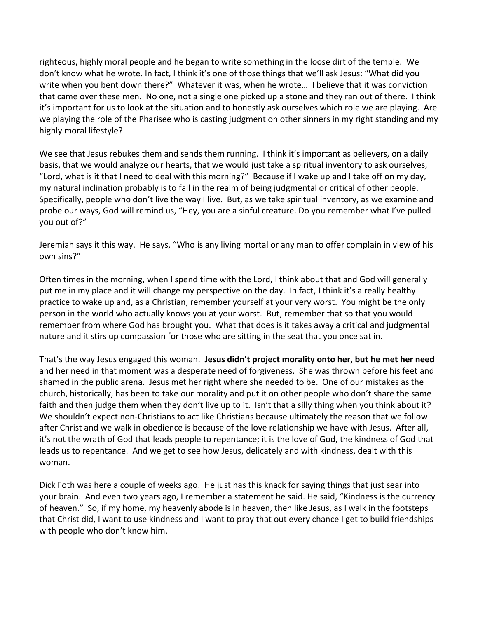righteous, highly moral people and he began to write something in the loose dirt of the temple. We don't know what he wrote. In fact, I think it's one of those things that we'll ask Jesus: "What did you write when you bent down there?" Whatever it was, when he wrote… I believe that it was conviction that came over these men. No one, not a single one picked up a stone and they ran out of there. I think it's important for us to look at the situation and to honestly ask ourselves which role we are playing. Are we playing the role of the Pharisee who is casting judgment on other sinners in my right standing and my highly moral lifestyle?

We see that Jesus rebukes them and sends them running. I think it's important as believers, on a daily basis, that we would analyze our hearts, that we would just take a spiritual inventory to ask ourselves, "Lord, what is it that I need to deal with this morning?" Because if I wake up and I take off on my day, my natural inclination probably is to fall in the realm of being judgmental or critical of other people. Specifically, people who don't live the way I live. But, as we take spiritual inventory, as we examine and probe our ways, God will remind us, "Hey, you are a sinful creature. Do you remember what I've pulled you out of?"

Jeremiah says it this way. He says, "Who is any living mortal or any man to offer complain in view of his own sins?"

Often times in the morning, when I spend time with the Lord, I think about that and God will generally put me in my place and it will change my perspective on the day. In fact, I think it's a really healthy practice to wake up and, as a Christian, remember yourself at your very worst. You might be the only person in the world who actually knows you at your worst. But, remember that so that you would remember from where God has brought you. What that does is it takes away a critical and judgmental nature and it stirs up compassion for those who are sitting in the seat that you once sat in.

That's the way Jesus engaged this woman. **Jesus didn't project morality onto her, but he met her need** and her need in that moment was a desperate need of forgiveness. She was thrown before his feet and shamed in the public arena. Jesus met her right where she needed to be. One of our mistakes as the church, historically, has been to take our morality and put it on other people who don't share the same faith and then judge them when they don't live up to it. Isn't that a silly thing when you think about it? We shouldn't expect non-Christians to act like Christians because ultimately the reason that we follow after Christ and we walk in obedience is because of the love relationship we have with Jesus. After all, it's not the wrath of God that leads people to repentance; it is the love of God, the kindness of God that leads us to repentance. And we get to see how Jesus, delicately and with kindness, dealt with this woman.

Dick Foth was here a couple of weeks ago. He just has this knack for saying things that just sear into your brain. And even two years ago, I remember a statement he said. He said, "Kindness is the currency of heaven." So, if my home, my heavenly abode is in heaven, then like Jesus, as I walk in the footsteps that Christ did, I want to use kindness and I want to pray that out every chance I get to build friendships with people who don't know him.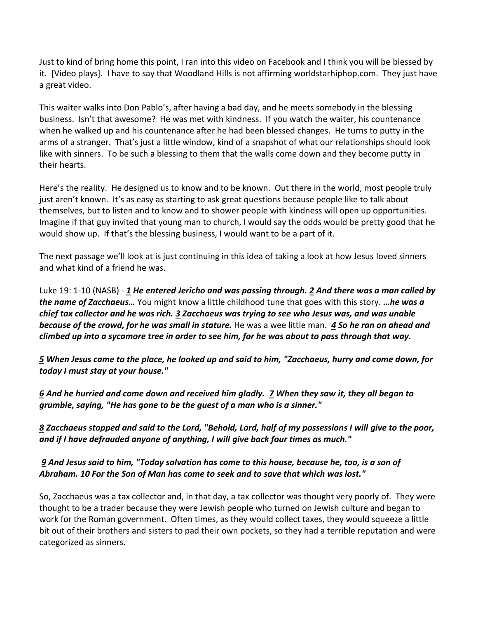Just to kind of bring home this point, I ran into this video on Facebook and I think you will be blessed by it. [Video plays]. I have to say that Woodland Hills is not affirming worldstarhiphop.com. They just have a great video.

This waiter walks into Don Pablo's, after having a bad day, and he meets somebody in the blessing business. Isn't that awesome? He was met with kindness. If you watch the waiter, his countenance when he walked up and his countenance after he had been blessed changes. He turns to putty in the arms of a stranger. That's just a little window, kind of a snapshot of what our relationships should look like with sinners. To be such a blessing to them that the walls come down and they become putty in their hearts.

Here's the reality. He designed us to know and to be known. Out there in the world, most people truly just aren't known. It's as easy as starting to ask great questions because people like to talk about themselves, but to listen and to know and to shower people with kindness will open up opportunities. Imagine if that guy invited that young man to church, I would say the odds would be pretty good that he would show up. If that's the blessing business, I would want to be a part of it.

The next passage we'll look at is just continuing in this idea of taking a look at how Jesus loved sinners and what kind of a friend he was.

Luke 19: 1-10 (NASB) - *[1](http://www.studylight.org/desk/?q=lu%2019:1&t1=en_nas&sr=1) He entered Jericho and was passing through. [2](http://www.studylight.org/desk/?q=lu%2019:2&t1=en_nas&sr=1) And there was a man called by the name of Zacchaeus…* You might know a little childhood tune that goes with this story. *…he was a chief tax collector and he was rich. [3](http://www.studylight.org/desk/?q=lu%2019:3&t1=en_nas&sr=1) Zacchaeus was trying to see who Jesus was, and was unable because of the crowd, for he was small in stature.* He was a wee little man. *[4](http://www.studylight.org/desk/?q=lu%2019:4&t1=en_nas&sr=1) So he ran on ahead and climbed up into a sycamore tree in order to see him, for he was about to pass through that way.* 

*[5](http://www.studylight.org/desk/?q=lu%2019:5&t1=en_nas&sr=1) When Jesus came to the place, he looked up and said to him, "Zacchaeus, hurry and come down, for today I must stay at your house."* 

*[6](http://www.studylight.org/desk/?q=lu%2019:6&t1=en_nas&sr=1) And he hurried and came down and received him gladly. [7](http://www.studylight.org/desk/?q=lu%2019:7&t1=en_nas&sr=1) When they saw it, they all began to grumble, saying, "He has gone to be the guest of a man who is a sinner."* 

*[8](http://www.studylight.org/desk/?q=lu%2019:8&t1=en_nas&sr=1) Zacchaeus stopped and said to the Lord, "Behold, Lord, half of my possessions I will give to the poor, and if I have defrauded anyone of anything, I will give back four times as much."* 

 *[9](http://www.studylight.org/desk/?q=lu%2019:9&t1=en_nas&sr=1) And Jesus said to him, "Today salvation has come to this house, because he, too, is a son of Abraham. [10](http://www.studylight.org/desk/?q=lu%2019:10&t1=en_nas&sr=1) For the Son of Man has come to seek and to save that which was lost."*

So, Zacchaeus was a tax collector and, in that day, a tax collector was thought very poorly of. They were thought to be a trader because they were Jewish people who turned on Jewish culture and began to work for the Roman government. Often times, as they would collect taxes, they would squeeze a little bit out of their brothers and sisters to pad their own pockets, so they had a terrible reputation and were categorized as sinners.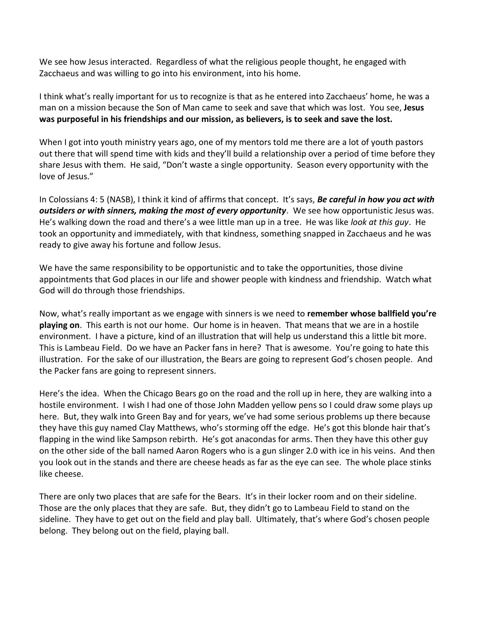We see how Jesus interacted. Regardless of what the religious people thought, he engaged with Zacchaeus and was willing to go into his environment, into his home.

I think what's really important for us to recognize is that as he entered into Zacchaeus' home, he was a man on a mission because the Son of Man came to seek and save that which was lost. You see, **Jesus was purposeful in his friendships and our mission, as believers, is to seek and save the lost.**

When I got into youth ministry years ago, one of my mentors told me there are a lot of youth pastors out there that will spend time with kids and they'll build a relationship over a period of time before they share Jesus with them. He said, "Don't waste a single opportunity. Season every opportunity with the love of Jesus."

In Colossians 4: 5 (NASB), I think it kind of affirms that concept. It's says, *Be careful in how you act with outsiders or with sinners, making the most of every opportunity*. We see how opportunistic Jesus was. He's walking down the road and there's a wee little man up in a tree. He was like *look at this guy*. He took an opportunity and immediately, with that kindness, something snapped in Zacchaeus and he was ready to give away his fortune and follow Jesus.

We have the same responsibility to be opportunistic and to take the opportunities, those divine appointments that God places in our life and shower people with kindness and friendship. Watch what God will do through those friendships.

Now, what's really important as we engage with sinners is we need to **remember whose ballfield you're playing on**. This earth is not our home. Our home is in heaven. That means that we are in a hostile environment. I have a picture, kind of an illustration that will help us understand this a little bit more. This is Lambeau Field. Do we have an Packer fans in here? That is awesome. You're going to hate this illustration. For the sake of our illustration, the Bears are going to represent God's chosen people. And the Packer fans are going to represent sinners.

Here's the idea. When the Chicago Bears go on the road and the roll up in here, they are walking into a hostile environment. I wish I had one of those John Madden yellow pens so I could draw some plays up here. But, they walk into Green Bay and for years, we've had some serious problems up there because they have this guy named Clay Matthews, who's storming off the edge. He's got this blonde hair that's flapping in the wind like Sampson rebirth. He's got anacondas for arms. Then they have this other guy on the other side of the ball named Aaron Rogers who is a gun slinger 2.0 with ice in his veins. And then you look out in the stands and there are cheese heads as far as the eye can see. The whole place stinks like cheese.

There are only two places that are safe for the Bears. It's in their locker room and on their sideline. Those are the only places that they are safe. But, they didn't go to Lambeau Field to stand on the sideline. They have to get out on the field and play ball. Ultimately, that's where God's chosen people belong. They belong out on the field, playing ball.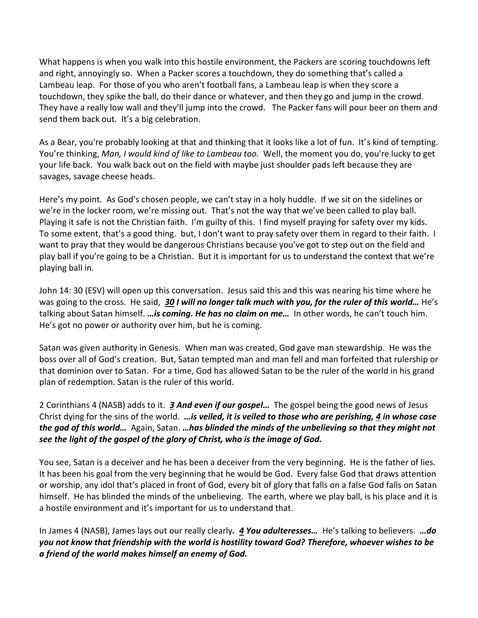What happens is when you walk into this hostile environment, the Packers are scoring touchdowns left and right, annoyingly so. When a Packer scores a touchdown, they do something that's called a Lambeau leap. For those of you who aren't football fans, a Lambeau leap is when they score a touchdown, they spike the ball, do their dance or whatever, and then they go and jump in the crowd. They have a really low wall and they'll jump into the crowd. The Packer fans will pour beer on them and send them back out. It's a big celebration.

As a Bear, you're probably looking at that and thinking that it looks like a lot of fun. It's kind of tempting. You're thinking, *Man, I would kind of like to Lambeau too.* Well, the moment you do, you're lucky to get your life back. You walk back out on the field with maybe just shoulder pads left because they are savages, savage cheese heads.

Here's my point. As God's chosen people, we can't stay in a holy huddle. If we sit on the sidelines or we're in the locker room, we're missing out. That's not the way that we've been called to play ball. Playing it safe is not the Christian faith. I'm guilty of this. I find myself praying for safety over my kids. To some extent, that's a good thing. but, I don't want to pray safety over them in regard to their faith. I want to pray that they would be dangerous Christians because you've got to step out on the field and play ball if you're going to be a Christian. But it is important for us to understand the context that we're playing ball in.

John 14: 30 (ESV) will open up this conversation. Jesus said this and this was nearing his time where he was going to the cross. He said, *[30](http://www.studylight.org/desk/?q=joh%2014:30&t1=en_esv&sr=1) I will no longer talk much with you, for the ruler of this world…* He's talking about Satan himself. *…is coming. He has no claim on me…* In other words, he can't touch him. He's got no power or authority over him, but he is coming.

Satan was given authority in Genesis. When man was created, God gave man stewardship. He was the boss over all of God's creation. But, Satan tempted man and man fell and man forfeited that rulership or that dominion over to Satan. For a time, God has allowed Satan to be the ruler of the world in his grand plan of redemption. Satan is the ruler of this world.

2 Corinthians 4 (NASB) adds to it. *[3](http://www.studylight.org/desk/?q=2co%204:3&t1=en_nas&sr=1) And even if our gospel…* The gospel being the good news of Jesus Christ dying for the sins of the world. *…is veiled, it is veiled to those who are perishing, [4](http://www.studylight.org/desk/?q=2co%204:4&t1=en_nas&sr=1) in whose case the god of this world…* Again, Satan. *…has blinded the minds of the unbelieving so that they might not see the light of the gospel of the glory of Christ, who is the image of God.*

You see, Satan is a deceiver and he has been a deceiver from the very beginning. He is the father of lies. It has been his goal from the very beginning that he would be God. Every false God that draws attention or worship, any idol that's placed in front of God, every bit of glory that falls on a false God falls on Satan himself. He has blinded the minds of the unbelieving. The earth, where we play ball, is his place and it is a hostile environment and it's important for us to understand that.

In James 4 (NASB), James lays out our really clearly*. [4](http://www.studylight.org/desk/?q=jas%204:4&t1=en_nas&sr=1) You adulteresses…* He's talking to believers. *…do you not know that friendship with the world is hostility toward God? Therefore, whoever wishes to be a friend of the world makes himself an enemy of God.*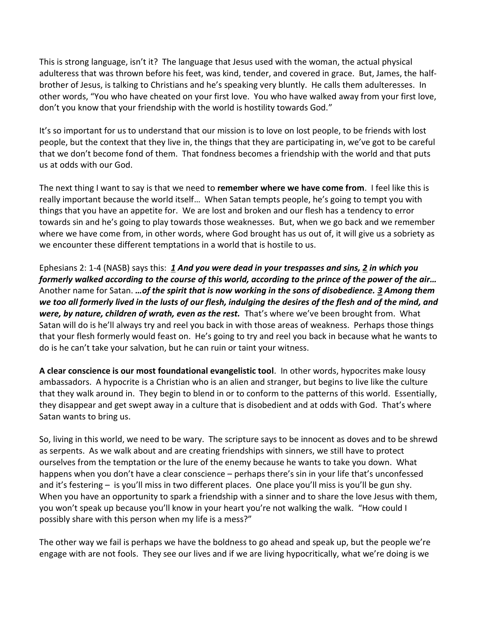This is strong language, isn't it? The language that Jesus used with the woman, the actual physical adulteress that was thrown before his feet, was kind, tender, and covered in grace. But, James, the halfbrother of Jesus, is talking to Christians and he's speaking very bluntly. He calls them adulteresses. In other words, "You who have cheated on your first love. You who have walked away from your first love, don't you know that your friendship with the world is hostility towards God."

It's so important for us to understand that our mission is to love on lost people, to be friends with lost people, but the context that they live in, the things that they are participating in, we've got to be careful that we don't become fond of them. That fondness becomes a friendship with the world and that puts us at odds with our God.

The next thing I want to say is that we need to **remember where we have come from**. I feel like this is really important because the world itself… When Satan tempts people, he's going to tempt you with things that you have an appetite for. We are lost and broken and our flesh has a tendency to error towards sin and he's going to play towards those weaknesses. But, when we go back and we remember where we have come from, in other words, where God brought has us out of, it will give us a sobriety as we encounter these different temptations in a world that is hostile to us.

Ephesians 2: 1-4 (NASB) says this: *[1](http://www.studylight.org/desk/?q=eph%202:1&t1=en_nas&sr=1) And you were dead in your trespasses and sins, [2](http://www.studylight.org/desk/?q=eph%202:2&t1=en_nas&sr=1) in which you formerly walked according to the course of this world, according to the prince of the power of the air…* Another name for Satan. *…of the spirit that is now working in the sons of disobedience. [3](http://www.studylight.org/desk/?q=eph%202:3&t1=en_nas&sr=1) Among them we too all formerly lived in the lusts of our flesh, indulging the desires of the flesh and of the mind, and*  were, by nature, children of wrath, even as the rest. That's where we've been brought from. What Satan will do is he'll always try and reel you back in with those areas of weakness. Perhaps those things that your flesh formerly would feast on. He's going to try and reel you back in because what he wants to do is he can't take your salvation, but he can ruin or taint your witness.

**A clear conscience is our most foundational evangelistic tool**. In other words, hypocrites make lousy ambassadors. A hypocrite is a Christian who is an alien and stranger, but begins to live like the culture that they walk around in. They begin to blend in or to conform to the patterns of this world. Essentially, they disappear and get swept away in a culture that is disobedient and at odds with God. That's where Satan wants to bring us.

So, living in this world, we need to be wary. The scripture says to be innocent as doves and to be shrewd as serpents. As we walk about and are creating friendships with sinners, we still have to protect ourselves from the temptation or the lure of the enemy because he wants to take you down. What happens when you don't have a clear conscience – perhaps there's sin in your life that's unconfessed and it's festering – is you'll miss in two different places. One place you'll miss is you'll be gun shy. When you have an opportunity to spark a friendship with a sinner and to share the love Jesus with them, you won't speak up because you'll know in your heart you're not walking the walk. "How could I possibly share with this person when my life is a mess?"

The other way we fail is perhaps we have the boldness to go ahead and speak up, but the people we're engage with are not fools. They see our lives and if we are living hypocritically, what we're doing is we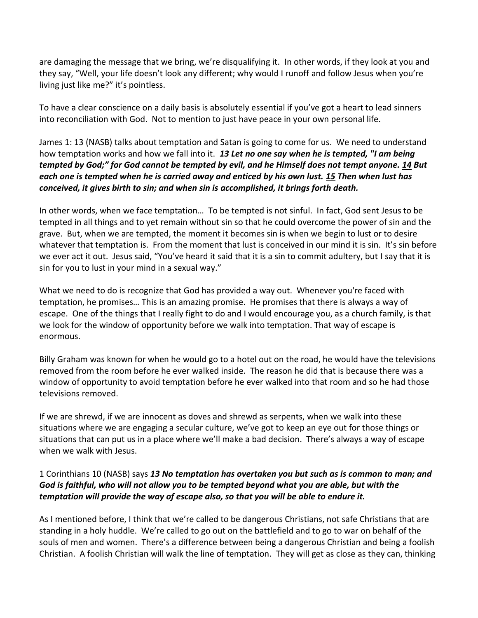are damaging the message that we bring, we're disqualifying it. In other words, if they look at you and they say, "Well, your life doesn't look any different; why would I runoff and follow Jesus when you're living just like me?" it's pointless.

To have a clear conscience on a daily basis is absolutely essential if you've got a heart to lead sinners into reconciliation with God. Not to mention to just have peace in your own personal life.

James 1: 13 (NASB) talks about temptation and Satan is going to come for us. We need to understand how temptation works and how we fall into it. *[13](http://www.studylight.org/desk/?q=jas%201:13&t1=en_nas&sr=1) Let no one say when he is tempted, "I am being tempted by God;" for God cannot be tempted by evil, and he Himself does not tempt anyone. [14](http://www.studylight.org/desk/?q=jas%201:14&t1=en_nas&sr=1) But each one is tempted when he is carried away and enticed by his own lust. [15](http://www.studylight.org/desk/?q=jas%201:15&t1=en_nas&sr=1) Then when lust has conceived, it gives birth to sin; and when sin is accomplished, it brings forth death.*

In other words, when we face temptation… To be tempted is not sinful. In fact, God sent Jesus to be tempted in all things and to yet remain without sin so that he could overcome the power of sin and the grave. But, when we are tempted, the moment it becomes sin is when we begin to lust or to desire whatever that temptation is. From the moment that lust is conceived in our mind it is sin. It's sin before we ever act it out. Jesus said, "You've heard it said that it is a sin to commit adultery, but I say that it is sin for you to lust in your mind in a sexual way."

What we need to do is recognize that God has provided a way out. Whenever you're faced with temptation, he promises… This is an amazing promise. He promises that there is always a way of escape. One of the things that I really fight to do and I would encourage you, as a church family, is that we look for the window of opportunity before we walk into temptation. That way of escape is enormous.

Billy Graham was known for when he would go to a hotel out on the road, he would have the televisions removed from the room before he ever walked inside. The reason he did that is because there was a window of opportunity to avoid temptation before he ever walked into that room and so he had those televisions removed.

If we are shrewd, if we are innocent as doves and shrewd as serpents, when we walk into these situations where we are engaging a secular culture, we've got to keep an eye out for those things or situations that can put us in a place where we'll make a bad decision. There's always a way of escape when we walk with Jesus.

## 1 Corinthians 10 (NASB) says *[13](http://www.studylight.org/desk/?q=1co%2010:13&t1=en_nas&sr=1) No temptation has overtaken you but such as is common to man; and God is faithful, who will not allow you to be tempted beyond what you are able, but with the temptation will provide the way of escape also, so that you will be able to endure it.*

As I mentioned before, I think that we're called to be dangerous Christians, not safe Christians that are standing in a holy huddle. We're called to go out on the battlefield and to go to war on behalf of the souls of men and women. There's a difference between being a dangerous Christian and being a foolish Christian. A foolish Christian will walk the line of temptation. They will get as close as they can, thinking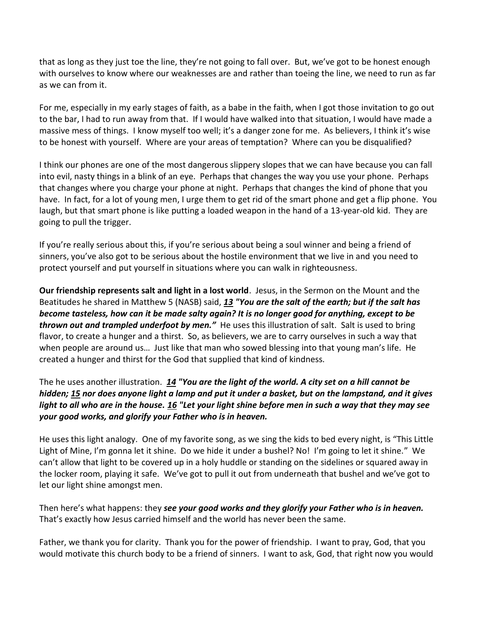that as long as they just toe the line, they're not going to fall over. But, we've got to be honest enough with ourselves to know where our weaknesses are and rather than toeing the line, we need to run as far as we can from it.

For me, especially in my early stages of faith, as a babe in the faith, when I got those invitation to go out to the bar, I had to run away from that. If I would have walked into that situation, I would have made a massive mess of things. I know myself too well; it's a danger zone for me. As believers, I think it's wise to be honest with yourself. Where are your areas of temptation? Where can you be disqualified?

I think our phones are one of the most dangerous slippery slopes that we can have because you can fall into evil, nasty things in a blink of an eye. Perhaps that changes the way you use your phone. Perhaps that changes where you charge your phone at night. Perhaps that changes the kind of phone that you have. In fact, for a lot of young men, I urge them to get rid of the smart phone and get a flip phone. You laugh, but that smart phone is like putting a loaded weapon in the hand of a 13-year-old kid. They are going to pull the trigger.

If you're really serious about this, if you're serious about being a soul winner and being a friend of sinners, you've also got to be serious about the hostile environment that we live in and you need to protect yourself and put yourself in situations where you can walk in righteousness.

**Our friendship represents salt and light in a lost world**. Jesus, in the Sermon on the Mount and the Beatitudes he shared in Matthew 5 (NASB) said, *[13](http://www.studylight.org/desk/?q=mt%205:13&t1=en_nas&sr=1) "You are the salt of the earth; but if the salt has become tasteless, how can it be made salty again? It is no longer good for anything, except to be thrown out and trampled underfoot by men."* He uses this illustration of salt. Salt is used to bring flavor, to create a hunger and a thirst. So, as believers, we are to carry ourselves in such a way that when people are around us… Just like that man who sowed blessing into that young man's life. He created a hunger and thirst for the God that supplied that kind of kindness.

## The he uses another illustration. *[14](http://www.studylight.org/desk/?q=mt%205:14&t1=en_nas&sr=1) "You are the light of the world. A city set on a hill cannot be hidden; [15](http://www.studylight.org/desk/?q=mt%205:15&t1=en_nas&sr=1) nor does anyone light a lamp and put it under a basket, but on the lampstand, and it gives light to all who are in the house. [16](http://www.studylight.org/desk/?q=mt%205:16&t1=en_nas&sr=1) "Let your light shine before men in such a way that they may see your good works, and glorify your Father who is in heaven.*

He uses this light analogy. One of my favorite song, as we sing the kids to bed every night, is "This Little Light of Mine, I'm gonna let it shine. Do we hide it under a bushel? No! I'm going to let it shine." We can't allow that light to be covered up in a holy huddle or standing on the sidelines or squared away in the locker room, playing it safe. We've got to pull it out from underneath that bushel and we've got to let our light shine amongst men.

Then here's what happens: they *see your good works and they glorify your Father who is in heaven.* That's exactly how Jesus carried himself and the world has never been the same.

Father, we thank you for clarity. Thank you for the power of friendship. I want to pray, God, that you would motivate this church body to be a friend of sinners. I want to ask, God, that right now you would